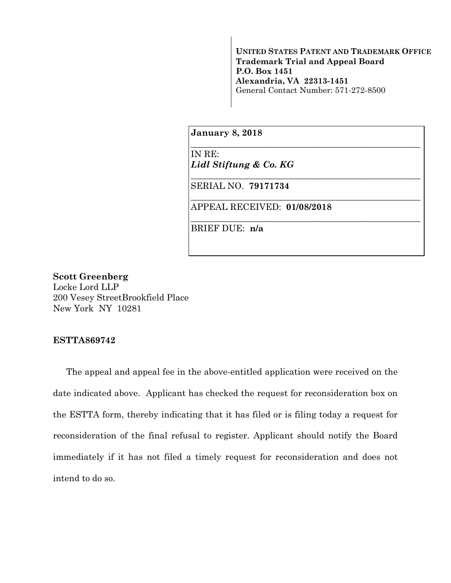**UNITED STATES PATENT AND TRADEMARK OFFICE Trademark Trial and Appeal Board P.O. Box 1451 Alexandria, VA 22313-1451**  General Contact Number: 571-272-8500

\_\_\_\_\_\_\_\_\_\_\_\_\_\_\_\_\_\_\_\_\_\_\_\_\_\_\_\_\_\_\_\_\_\_\_\_\_\_\_\_\_\_\_\_\_\_\_\_\_\_\_\_

\_\_\_\_\_\_\_\_\_\_\_\_\_\_\_\_\_\_\_\_\_\_\_\_\_\_\_\_\_\_\_\_\_\_\_\_\_\_\_\_\_\_\_\_\_\_\_\_\_\_\_\_

\_\_\_\_\_\_\_\_\_\_\_\_\_\_\_\_\_\_\_\_\_\_\_\_\_\_\_\_\_\_\_\_\_\_\_\_\_\_\_\_\_\_\_\_\_\_\_\_\_\_\_\_

\_\_\_\_\_\_\_\_\_\_\_\_\_\_\_\_\_\_\_\_\_\_\_\_\_\_\_\_\_\_\_\_\_\_\_\_\_\_\_\_\_\_\_\_\_\_\_\_\_\_\_\_

**January 8, 2018**

IN RE: *Lidl Stiftung & Co. KG* 

SERIAL NO. **79171734** 

APPEAL RECEIVED: **01/08/2018**

BRIEF DUE: **n/a** 

## **Scott Greenberg**

Locke Lord LLP 200 Vesey StreetBrookfield Place New York NY 10281

## **ESTTA869742**

The appeal and appeal fee in the above-entitled application were received on the date indicated above. Applicant has checked the request for reconsideration box on the ESTTA form, thereby indicating that it has filed or is filing today a request for reconsideration of the final refusal to register. Applicant should notify the Board immediately if it has not filed a timely request for reconsideration and does not intend to do so.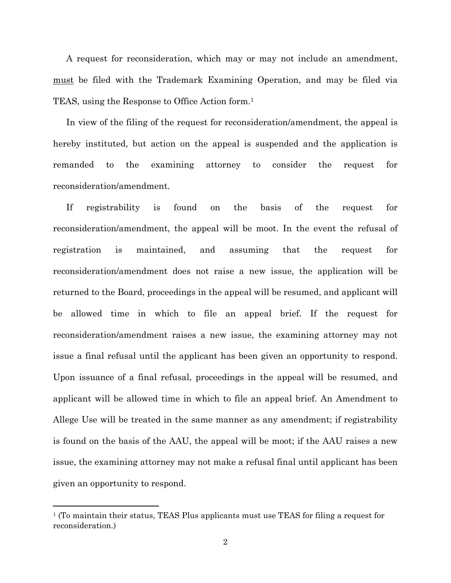A request for reconsideration, which may or may not include an amendment, must be filed with the Trademark Examining Operation, and may be filed via TEAS, using the Response to Office Action form.1

In view of the filing of the request for reconsideration/amendment, the appeal is hereby instituted, but action on the appeal is suspended and the application is remanded to the examining attorney to consider the request for reconsideration/amendment.

If registrability is found on the basis of the request for reconsideration/amendment, the appeal will be moot. In the event the refusal of registration is maintained, and assuming that the request for reconsideration/amendment does not raise a new issue, the application will be returned to the Board, proceedings in the appeal will be resumed, and applicant will be allowed time in which to file an appeal brief. If the request for reconsideration/amendment raises a new issue, the examining attorney may not issue a final refusal until the applicant has been given an opportunity to respond. Upon issuance of a final refusal, proceedings in the appeal will be resumed, and applicant will be allowed time in which to file an appeal brief. An Amendment to Allege Use will be treated in the same manner as any amendment; if registrability is found on the basis of the AAU, the appeal will be moot; if the AAU raises a new issue, the examining attorney may not make a refusal final until applicant has been given an opportunity to respond.

<sup>1 (</sup>To maintain their status, TEAS Plus applicants must use TEAS for filing a request for reconsideration.)